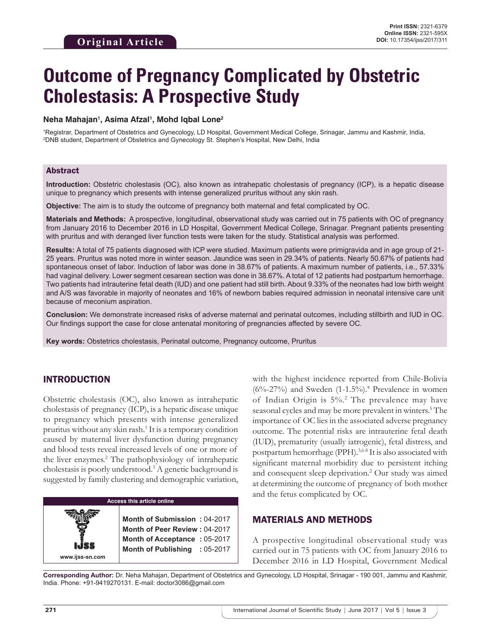# **Outcome of Pregnancy Complicated by Obstetric Cholestasis: A Prospective Study**

#### **Neha Mahajan1 , Asima Afzal1 , Mohd Iqbal Lone2**

1 Registrar, Department of Obstetrics and Gynecology, LD Hospital, Government Medical College, Srinagar, Jammu and Kashmir, India, 2 DNB student, Department of Obstetrics and Gynecology St. Stephen's Hospital, New Delhi, India

### Abstract

**Introduction:** Obstetric cholestasis (OC), also known as intrahepatic cholestasis of pregnancy (ICP), is a hepatic disease unique to pregnancy which presents with intense generalized pruritus without any skin rash.

**Objective:** The aim is to study the outcome of pregnancy both maternal and fetal complicated by OC.

**Materials and Methods:** A prospective, longitudinal, observational study was carried out in 75 patients with OC of pregnancy from January 2016 to December 2016 in LD Hospital, Government Medical College, Srinagar. Pregnant patients presenting with pruritus and with deranged liver function tests were taken for the study. Statistical analysis was performed.

**Results:** A total of 75 patients diagnosed with ICP were studied. Maximum patients were primigravida and in age group of 21- 25 years. Pruritus was noted more in winter season. Jaundice was seen in 29.34% of patients. Nearly 50.67% of patients had spontaneous onset of labor. Induction of labor was done in 38.67% of patients. A maximum number of patients, i.e., 57.33% had vaginal delivery. Lower segment cesarean section was done in 38.67%. A total of 12 patients had postpartum hemorrhage. Two patients had intrauterine fetal death (IUD) and one patient had still birth. About 9.33% of the neonates had low birth weight and A/S was favorable in majority of neonates and 16% of newborn babies required admission in neonatal intensive care unit because of meconium aspiration.

**Conclusion:** We demonstrate increased risks of adverse maternal and perinatal outcomes, including stillbirth and IUD in OC. Our findings support the case for close antenatal monitoring of pregnancies affected by severe OC.

**Key words:** Obstetrics cholestasis, Perinatal outcome, Pregnancy outcome, Pruritus

# INTRODUCTION

Obstetric cholestasis (OC), also known as intrahepatic cholestasis of pregnancy (ICP), is a hepatic disease unique to pregnancy which presents with intense generalized pruritus without any skin rash.<sup>1</sup> It is a temporary condition caused by maternal liver dysfunction during pregnancy and blood tests reveal increased levels of one or more of the liver enzymes.<sup>2</sup> The pathophysiology of intrahepatic cholestasis is poorly understood.3 A genetic background is suggested by family clustering and demographic variation,

| <b>Access this article online</b> |                                                                                               |  |  |
|-----------------------------------|-----------------------------------------------------------------------------------------------|--|--|
|                                   | Month of Submission: 04-2017<br>Month of Peer Review: 04-2017<br>Month of Acceptance: 05-2017 |  |  |
| www.ijss-sn.com                   | Month of Publishing : 05-2017                                                                 |  |  |

with the highest incidence reported from Chile-Bolivia  $(6\% - 27\%)$  and Sweden  $(1-1.5\%)$ .<sup>4</sup> Prevalence in women of Indian Origin is 5%.2 The prevalence may have seasonal cycles and may be more prevalent in winters.<sup>5</sup> The importance of OC lies in the associated adverse pregnancy outcome. The potential risks are intrauterine fetal death (IUD), prematurity (usually iatrogenic), fetal distress, and postpartum hemorrhage (PPH).<sup>3,6-8</sup> It is also associated with significant maternal morbidity due to persistent itching and consequent sleep deprivation.2 Our study was aimed at determining the outcome of pregnancy of both mother and the fetus complicated by OC.

## MATERIALS AND METHODS

A prospective longitudinal observational study was carried out in 75 patients with OC from January 2016 to December 2016 in LD Hospital, Government Medical

**Corresponding Author:** Dr. Neha Mahajan, Department of Obstetrics and Gynecology, LD Hospital, Srinagar - 190 001, Jammu and Kashmir, India. Phone: +91-9419270131. E-mail: doctor3086@gmail.com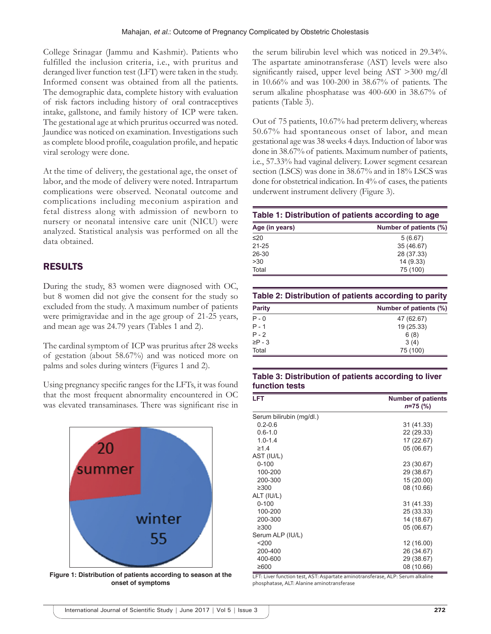College Srinagar (Jammu and Kashmir). Patients who fulfilled the inclusion criteria, i.e., with pruritus and deranged liver function test (LFT) were taken in the study. Informed consent was obtained from all the patients. The demographic data, complete history with evaluation of risk factors including history of oral contraceptives intake, gallstone, and family history of ICP were taken. The gestational age at which pruritus occurred was noted. Jaundice was noticed on examination. Investigations such as complete blood profile, coagulation profile, and hepatic viral serology were done.

At the time of delivery, the gestational age, the onset of labor, and the mode of delivery were noted. Intrapartum complications were observed. Neonatal outcome and complications including meconium aspiration and fetal distress along with admission of newborn to nursery or neonatal intensive care unit (NICU) were analyzed. Statistical analysis was performed on all the data obtained.

# RESULTS

During the study, 83 women were diagnosed with OC, but 8 women did not give the consent for the study so excluded from the study. A maximum number of patients were primigravidae and in the age group of 21-25 years, and mean age was 24.79 years (Tables 1 and 2).

The cardinal symptom of ICP was pruritus after 28 weeks of gestation (about 58.67%) and was noticed more on palms and soles during winters (Figures 1 and 2).

Using pregnancy specific ranges for the LFTs, it was found that the most frequent abnormality encountered in OC was elevated transaminases. There was significant rise in



**Figure 1: Distribution of patients according to season at the onset of symptoms**

the serum bilirubin level which was noticed in 29.34%. The aspartate aminotransferase (AST) levels were also significantly raised, upper level being AST >300 mg/dl in 10.66% and was 100-200 in 38.67% of patients. The serum alkaline phosphatase was 400-600 in 38.67% of patients (Table 3).

Out of 75 patients, 10.67% had preterm delivery, whereas 50.67% had spontaneous onset of labor, and mean gestational age was 38 weeks 4 days. Induction of labor was done in 38.67% of patients. Maximum number of patients, i.e., 57.33% had vaginal delivery. Lower segment cesarean section (LSCS) was done in 38.67% and in 18% LSCS was done for obstetrical indication. In 4% of cases, the patients underwent instrument delivery (Figure 3).

|  |  |  | Table 1: Distribution of patients according to age |
|--|--|--|----------------------------------------------------|
|--|--|--|----------------------------------------------------|

| Number of patients (%) |
|------------------------|
|                        |
| 5(6.67)                |
| 35 (46.67)             |
| 28 (37.33)             |
| 14 (9.33)              |
| 75 (100)               |
|                        |

**Table 2: Distribution of patients according to parity**

| <b>Parity</b> | Number of patients (%) |
|---------------|------------------------|
| $P - 0$       | 47 (62.67)             |
| $P - 1$       | 19 (25.33)             |
| $P - 2$       | 6(8)                   |
| $\geq P - 3$  | 3(4)                   |
| Total         | 75 (100)               |

## **Table 3: Distribution of patients according to liver function tests**

| <b>LFT</b>               | <b>Number of patients</b><br>$n=75$ (%) |
|--------------------------|-----------------------------------------|
| Serum bilirubin (mg/dl.) |                                         |
| $0.2 - 0.6$              | 31 (41.33)                              |
| $0.6 - 1.0$              | 22 (29.33)                              |
| $1.0 - 1.4$              | 17 (22.67)                              |
| $\geq 1.4$               | 05 (06.67)                              |
| AST (IU/L)               |                                         |
| $0 - 100$                | 23 (30.67)                              |
| 100-200                  | 29 (38.67)                              |
| 200-300                  | 15 (20.00)                              |
| $\geq 300$               | 08 (10.66)                              |
| ALT (IU/L)               |                                         |
| $0 - 100$                | 31 (41.33)                              |
| 100-200                  | 25 (33.33)                              |
| 200-300                  | 14 (18.67)                              |
| $\geq$ 300               | 05 (06.67)                              |
| Serum ALP (IU/L)         |                                         |
| $200$                    | 12 (16.00)                              |
| 200-400                  | 26 (34.67)                              |
| 400-600                  | 29 (38.67)                              |
| ≥600                     | 08 (10.66)                              |

LFT: Liver function test, AST: Aspartate aminotransferase, ALP: Serum alkaline phosphatase, ALT: Alanine aminotransferase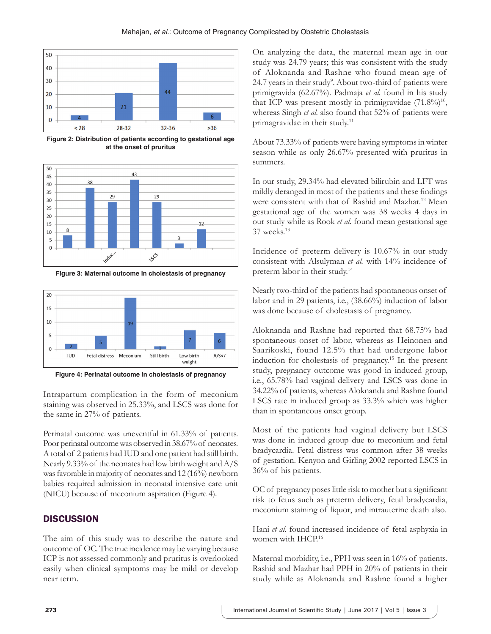

**Figure 2: Distribution of patients according to gestational age at the onset of pruritus**



**Figure 3: Maternal outcome in cholestasis of pregnancy**



**Figure 4: Perinatal outcome in cholestasis of pregnancy**

Intrapartum complication in the form of meconium staining was observed in 25.33%, and LSCS was done for the same in 27% of patients.

Perinatal outcome was uneventful in 61.33% of patients. Poor perinatal outcome was observed in 38.67% of neonates. Atotal of 2 patients had IUD and one patient had still birth. Nearly 9.33% of the neonates had low birth weight and A/S was favorable in majority of neonates and 12 (16%) newborn babies required admission in neonatal intensive care unit (NICU) because of meconium aspiration (Figure 4).

# **DISCUSSION**

The aim of this study was to describe the nature and outcome of OC. The true incidence may be varying because ICP is not assessed commonly and pruritus is overlooked easily when clinical symptoms may be mild or develop near term.

On analyzing the data, the maternal mean age in our study was 24.79 years; this was consistent with the study of Aloknanda and Rashne who found mean age of 24.7 years in their study<sup>9</sup>. About two-third of patients were primigravida (62.67%). Padmaja *et al.* found in his study that ICP was present mostly in primigravidae  $(71.8\%)^{10}$ , whereas Singh *et al.* also found that 52% of patients were primagravidae in their study.11

About 73.33% of patients were having symptoms in winter season while as only 26.67% presented with pruritus in summers.

In our study, 29.34% had elevated bilirubin and LFT was mildly deranged in most of the patients and these findings were consistent with that of Rashid and Mazhar.12 Mean gestational age of the women was 38 weeks 4 days in our study while as Rook *et al.* found mean gestational age 37 weeks.13

Incidence of preterm delivery is 10.67% in our study consistent with Alsulyman *et al.* with 14% incidence of preterm labor in their study.14

Nearly two-third of the patients had spontaneous onset of labor and in 29 patients, i.e., (38.66%) induction of labor was done because of cholestasis of pregnancy.

Aloknanda and Rashne had reported that 68.75% had spontaneous onset of labor, whereas as Heinonen and Saarikoski, found 12.5% that had undergone labor induction for cholestasis of pregnancy.15 In the present study, pregnancy outcome was good in induced group, i.e., 65.78% had vaginal delivery and LSCS was done in 34.22% of patients, whereas Aloknanda and Rashne found LSCS rate in induced group as 33.3% which was higher than in spontaneous onset group.

Most of the patients had vaginal delivery but LSCS was done in induced group due to meconium and fetal bradycardia. Fetal distress was common after 38 weeks of gestation. Kenyon and Girling 2002 reported LSCS in 36% of his patients.

OC of pregnancy poses little risk to mother but a significant risk to fetus such as preterm delivery, fetal bradycardia, meconium staining of liquor, and intrauterine death also.

Hani *et al.* found increased incidence of fetal asphyxia in women with IHCP.<sup>16</sup>

Maternal morbidity, i.e., PPH was seen in 16% of patients. Rashid and Mazhar had PPH in 20% of patients in their study while as Aloknanda and Rashne found a higher